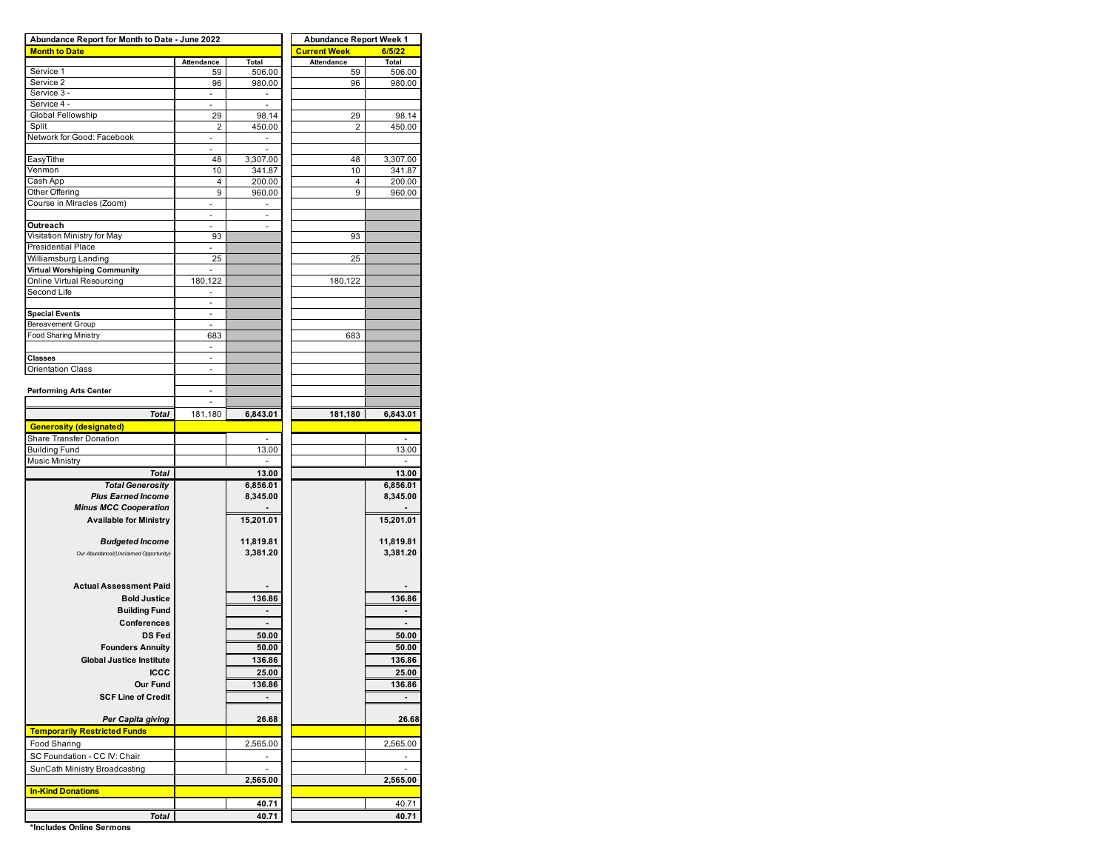| Abundance Report for Month to Date - June 2022            | <b>Abundance Report Week 1</b> |                  |                     |                          |  |  |  |
|-----------------------------------------------------------|--------------------------------|------------------|---------------------|--------------------------|--|--|--|
| <b>Month to Date</b>                                      |                                |                  | <b>Current Week</b> | 6/5/22                   |  |  |  |
|                                                           | Attendance                     | Total            | Attendance          | Total                    |  |  |  |
| Service 1<br>Service 2                                    | 59<br>96                       | 506.00<br>980.00 | 59                  | 506.00                   |  |  |  |
| Service 3 -                                               | н.                             | $\blacksquare$   | 96                  | 980.00                   |  |  |  |
| Service 4 -                                               |                                |                  |                     |                          |  |  |  |
| Global Fellowship                                         | 29                             | 98.14            | 29                  | 98.14                    |  |  |  |
| Split                                                     | $\overline{2}$                 | 450.00           | $\overline{2}$      | 450.00                   |  |  |  |
| Network for Good: Facebook                                | $\overline{a}$                 | ×.               |                     |                          |  |  |  |
|                                                           |                                | ٠                |                     |                          |  |  |  |
| EasyTithe                                                 | 48                             | 3,307.00         | 48                  | 3,307.00                 |  |  |  |
| Venmon                                                    | 10                             | 341.87           | 10                  | 341.87                   |  |  |  |
| Cash App                                                  | 4                              | 200.00           | 4                   | 200.00                   |  |  |  |
| Other Offering                                            | 9                              | 960.00           | 9                   | 960.00                   |  |  |  |
| Course in Miracles (Zoom)                                 | ٠                              | ٠                |                     |                          |  |  |  |
|                                                           |                                |                  |                     |                          |  |  |  |
| Outreach                                                  | ä,                             | L,               |                     |                          |  |  |  |
| Visitation Ministry for May                               | 93                             |                  | 93                  |                          |  |  |  |
| Presidential Place                                        |                                |                  |                     |                          |  |  |  |
| Williamsburg Landing                                      | 25                             |                  | 25                  |                          |  |  |  |
| Virtual Worshiping Community<br>Online Virtual Resourcing | 180,122                        |                  |                     |                          |  |  |  |
| Second Life                                               |                                |                  | 180,122             |                          |  |  |  |
|                                                           | ٠<br>ä,                        |                  |                     |                          |  |  |  |
| <b>Special Events</b>                                     | ÷,                             |                  |                     |                          |  |  |  |
| <b>Bereavement Group</b>                                  |                                |                  |                     |                          |  |  |  |
| <b>Food Sharing Ministry</b>                              | 683                            |                  | 683                 |                          |  |  |  |
|                                                           | ٠                              |                  |                     |                          |  |  |  |
| <b>Classes</b>                                            |                                |                  |                     |                          |  |  |  |
| <b>Orientation Class</b>                                  |                                |                  |                     |                          |  |  |  |
|                                                           |                                |                  |                     |                          |  |  |  |
| <b>Performing Arts Center</b>                             |                                |                  |                     |                          |  |  |  |
|                                                           | ä,                             |                  |                     |                          |  |  |  |
| <b>Total</b>                                              | 181,180                        | 6,843.01         | 181,180             | 6,843.01                 |  |  |  |
| <b>Generosity (designated)</b>                            |                                |                  |                     |                          |  |  |  |
| Share Transfer Donation                                   |                                |                  |                     | $\overline{\phantom{a}}$ |  |  |  |
| <b>Building Fund</b>                                      |                                | 13.00            |                     | 13.00                    |  |  |  |
| <b>Music Ministry</b>                                     |                                |                  |                     |                          |  |  |  |
| <b>Total</b>                                              |                                | 13.00            |                     | 13.00                    |  |  |  |
| <b>Total Generosity</b>                                   |                                | 6,856.01         |                     | 6,856.01                 |  |  |  |
| <b>Plus Earned Income</b>                                 |                                | 8,345.00         |                     | 8,345.00                 |  |  |  |
| <b>Minus MCC Cooperation</b>                              |                                |                  |                     |                          |  |  |  |
| <b>Available for Ministry</b>                             |                                | 15,201.01        |                     | 15,201.01                |  |  |  |
|                                                           |                                |                  |                     |                          |  |  |  |
| <b>Budgeted Income</b>                                    |                                | 11,819.81        |                     | 11,819.81                |  |  |  |
| Our Abundance/(Unclaimed Opportunity)                     |                                | 3,381.20         |                     | 3,381.20                 |  |  |  |
|                                                           |                                |                  |                     |                          |  |  |  |
| <b>Actual Assessment Paid</b>                             |                                |                  |                     |                          |  |  |  |
|                                                           |                                |                  |                     |                          |  |  |  |
| <b>Bold Justice</b>                                       |                                | 136.86           |                     | 136.86                   |  |  |  |
| <b>Building Fund</b>                                      |                                |                  |                     |                          |  |  |  |
|                                                           |                                |                  |                     |                          |  |  |  |
| Conferences                                               |                                |                  |                     |                          |  |  |  |
| <b>DS Fed</b>                                             |                                | 50.00            |                     | 50.00                    |  |  |  |
| <b>Founders Annuity</b>                                   |                                | 50.00            |                     | 50.00                    |  |  |  |
| <b>Global Justice Institute</b>                           |                                | 136.86           |                     | 136.86                   |  |  |  |
| <b>ICCC</b>                                               |                                | 25.00            |                     | 25.00                    |  |  |  |
| <b>Our Fund</b>                                           |                                | 136.86           |                     | 136.86                   |  |  |  |
| <b>SCF Line of Credit</b>                                 |                                |                  |                     |                          |  |  |  |
|                                                           |                                |                  |                     |                          |  |  |  |
| Per Capita giving                                         |                                | 26.68            |                     | 26.68                    |  |  |  |
| <b>Temporarily Restricted Funds</b>                       |                                |                  |                     |                          |  |  |  |
| Food Sharing                                              |                                | 2,565.00         |                     | 2,565.00                 |  |  |  |
|                                                           |                                |                  |                     |                          |  |  |  |
| SC Foundation - CC IV: Chair                              |                                | ä,               |                     | ×.                       |  |  |  |
| SunCath Ministry Broadcasting                             |                                | 2,565.00         |                     | 2,565.00                 |  |  |  |
| <b>In-Kind Donations</b>                                  |                                |                  |                     |                          |  |  |  |
|                                                           |                                | 40.71            |                     | 40.71                    |  |  |  |

**\*Includes Online Sermons**